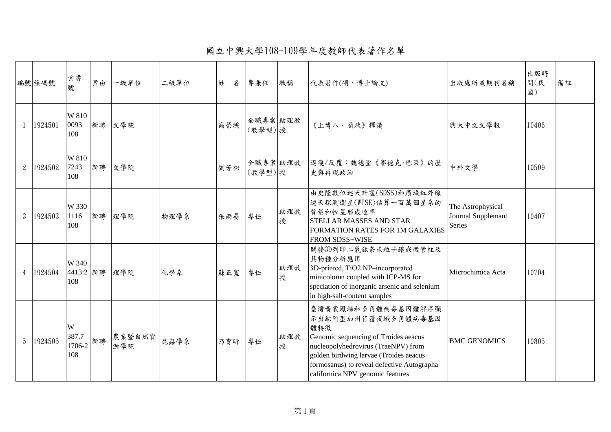國立中興大學108-109學年度教師代表著作名單

|                | 編號條碼號   | 索書<br>號                     | 案由 | 一級單位          | 二級單位 | 姓<br>名 | 專兼任                 | 職稱       | 代表著作(碩、博士論文)                                                                                                                                                                                                                                               | 出版處所或期刊名稱                                         | 出版時<br>間(民<br>國) | 備註 |
|----------------|---------|-----------------------------|----|---------------|------|--------|---------------------|----------|------------------------------------------------------------------------------------------------------------------------------------------------------------------------------------------------------------------------------------------------------------|---------------------------------------------------|------------------|----|
|                | 1924501 | W 810<br>0093<br>108        |    | 新聘 文學院        |      | 高榮鴻    | 全職專案 助理教<br>(教學型)授  |          | 《上博八·蘭賦》釋讀                                                                                                                                                                                                                                                 | 興大中文文學報                                           | 10406            |    |
| $2^{\circ}$    | 1924502 | W 810<br>7243<br>108        |    | 新聘 文學院        |      | 劉芳礽    | 全職專案 助理教<br>(教學型) 授 |          | 返復/反覆:魏德聖《賽德克·巴萊》的歷<br>史與再現政治                                                                                                                                                                                                                              | 中外文學                                              | 10509            |    |
| 3              | 1924503 | W 330<br>1116<br>108        | 新聘 | 理學院           | 物理學系 | 張雨晏    | 專任                  | 助理教<br>授 | 由史隆數位巡天計畫(SDSS)和廣域紅外線<br>巡天探測衛星(WISE)估算一百萬個星系的<br>質量和恆星形成速率<br><b>STELLAR MASSES AND STAR</b><br>FORMATION RATES FOR 1M GALAXIES<br><b>FROM SDSS+WISE</b>                                                                                                  | The Astrophysical<br>Journal Supplemant<br>Series | 10407            |    |
| $\overline{4}$ | 1924504 | W 340<br>4413:2 新聘<br>108   |    | 理學院           | 化學系  | 蘇正寬    | 專任                  | 助理教<br>授 | 開發3D列印二氧鈦奈米粒子鑲嵌微管柱及<br>其物種分析應用<br>3D-printed, TiO2 NP-incorporated<br>minicolumn coupled with ICP-MS for<br>speciation of inorganic arsenic and selenium<br>in high-salt-content samples                                                                   | Microchimica Acta                                 | 10704            |    |
| 5              | 1924505 | W<br>387.7<br>1706-2<br>108 | 新聘 | 農業暨自然資<br>源學院 | 昆蟲學系 | 乃育昕    | 專任                  | 助理教<br>授 | 臺灣黃裳鳳蝶和多角體病毒基因體解序顯<br>示出缺陷型加州苜蓿夜蛾多角體病毒基因<br>體特徵<br>Genomic sequencing of Troides aeacus<br>nucleopolyhedrovirus (TraeNPV) from<br>golden birdwing larvae (Troides aeacus<br>formosanus) to reveal defective Autographa<br>californica NPV genomic features | <b>BMC GENOMICS</b>                               | 10805            |    |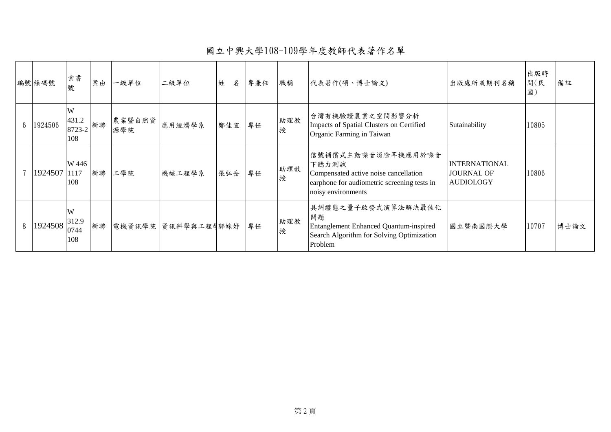國立中興大學108-109學年度教師代表著作名單

|                | 編號條碼號        | 索書<br>號                     | 案由 | 一級單位          | 二級單位               | 名<br>姓 | 專兼任 | 職稱       | 代表著作(碩、博士論文)                                                                                                                              | 出版處所或期刊名稱                                                     | 出版時<br>間(民<br>國) | 備註   |
|----------------|--------------|-----------------------------|----|---------------|--------------------|--------|-----|----------|-------------------------------------------------------------------------------------------------------------------------------------------|---------------------------------------------------------------|------------------|------|
| 6 <sup>1</sup> | 1924506      | W<br>431.2<br>8723-2<br>108 | 新聘 | 農業暨自然資<br>源學院 | 應用經濟學系             | 鄭佳宜    | 專任  | 助理教<br>授 | 台灣有機驗證農業之空間影響分析<br>Impacts of Spatial Clusters on Certified<br>Organic Farming in Taiwan                                                  | Sutainability                                                 | 10805            |      |
|                | 1924507 1117 | W 446<br>108                | 新聘 | 工學院           | 機械工程學系             | 張弘岳    | 專任  | 助理教<br>授 | 信號補償式主動噪音消除耳機應用於噪音<br>下聽力測試<br>Compensated active noise cancellation<br>earphone for audiometric screening tests in<br>noisy environments | <b>INTERNATIONAL</b><br><b>JOURNAL OF</b><br><b>AUDIOLOGY</b> | 10806            |      |
| 8              | 1924508      | W<br>312.9<br>0744<br>108   | 新聘 |               | 電機資訊學院 資訊科學與工程學郭妹好 |        | 專任  | 助理教<br>授 | 具糾纏態之量子啟發式演算法解決最佳化<br>問題<br>Entanglement Enhanced Quantum-inspired<br>Search Algorithm for Solving Optimization<br>Problem                | 國立暨南國際大學                                                      | 10707            | 博士論文 |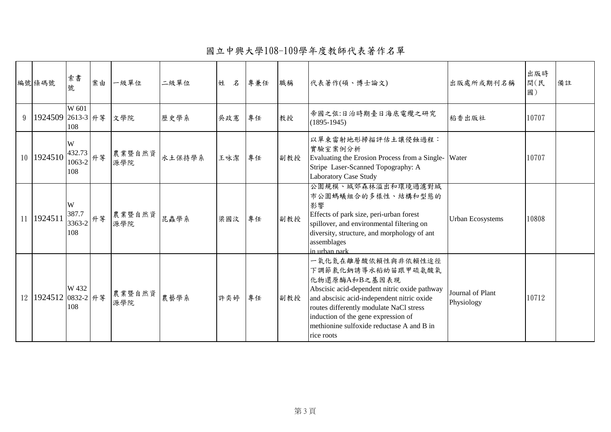國立中興大學108-109學年度教師代表著作名單

|   | 編號條碼號                 | 索書<br>號                           | 案由 | 一級單位          | 二級單位   | 姓<br>名 | 專兼任 | 職稱  | 代表著作(碩、博士論文)                                                                                                                                                                                                                                                                                         | 出版處所或期刊名稱                             | 出版時<br>間(民<br>國) | 備註 |
|---|-----------------------|-----------------------------------|----|---------------|--------|--------|-----|-----|------------------------------------------------------------------------------------------------------------------------------------------------------------------------------------------------------------------------------------------------------------------------------------------------------|---------------------------------------|------------------|----|
| 9 | 1924509 2613-3 升等 文學院 | W 601<br>108                      |    |               | 歷史學系   | 吳政憲    | 專任  | 教授  | 帝國之弦:日治時期臺日海底電纜之研究<br>$(1895-1945)$                                                                                                                                                                                                                                                                  | 稻香出版社                                 | 10707            |    |
|   | 10 1924510            | W<br>432.73<br>1063-2<br>108      | 升等 | 農業暨自然資<br>源學院 | 水土保持學系 | 王咏潔    | 專任  | 副教授 | 以單束雷射地形掃描評估土讓侵蝕過程:<br>實驗室案例分析<br>Evaluating the Erosion Process from a Single- Water<br>Stripe Laser-Scanned Topography: A<br><b>Laboratory Case Study</b>                                                                                                                                           |                                       | 10707            |    |
|   | 11 1924511            | W<br>387.7<br>$13363-2$ 升等<br>108 |    | 農業暨自然資<br>源學院 | 昆蟲學系   | 梁國汶    | 專任  | 副教授 | 公園規模、城郊森林溢出和環境過濾對城<br>市公園螞蟻組合的多樣性、結構和型態的<br>影響<br>Effects of park size, peri-urban forest<br>spillover, and environmental filtering on<br>diversity, structure, and morphology of ant<br>assemblages<br>in urban park                                                                                | <b>Urban Ecosystems</b>               | 10808            |    |
|   | 12 1924512            | W 432<br>0832-2 升等<br>108         |    | 農業暨自然資<br>源學院 | 農藝學系   | 許奕婷    | 專任  | 副教授 | 一氧化氮在離層酸依賴性與非依賴性途徑<br>下調節氣化鈉誘導水稻幼苗跟甲硫氨酸氧<br>化物還原酶A和B之基因表現<br>Abscisic acid-dependent nitric oxide pathway<br>and abscisic acid-independent nitric oxide<br>routes differently modulate NaCl stress<br>induction of the gene expression of<br>methionine sulfoxide reductase A and B in<br>rice roots | <b>Journal of Plant</b><br>Physiology | 10712            |    |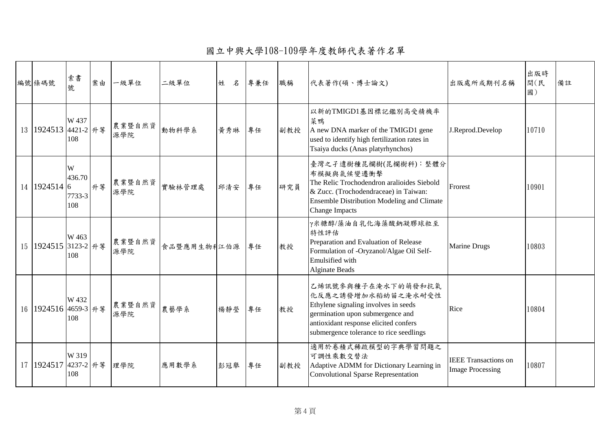國立中興大學108-109學年度教師代表著作名單

| 編號條碼號                | 索書<br>號                      | 案由 | 一級單位          | 二級單位        | 姓<br>名 | 專兼任 | 職稱  | 代表著作(碩、博士論文)                                                                                                                                                                                             | 出版處所或期刊名稱                                              | 出版時<br>間(民<br>國) | 備註 |
|----------------------|------------------------------|----|---------------|-------------|--------|-----|-----|----------------------------------------------------------------------------------------------------------------------------------------------------------------------------------------------------------|--------------------------------------------------------|------------------|----|
| 13 1924513 4421-2 升等 | W 437<br>108                 |    | 農業暨自然資<br>源學院 | 動物科學系       | 黄秀琳    | 專任  | 副教授 | 以新的TMIGD1基因標記鑑別高受精機率<br>菜鴨<br>A new DNA marker of the TMIGD1 gene<br>used to identify high fertilization rates in<br>Tsaiya ducks (Anas platyrhynchos)                                                   | J.Reprod.Develop                                       | 10710            |    |
| 14 1924514 6         | W<br>436.70<br>7733-3<br>108 | 升等 | 農業暨自然資<br>源學院 | 實驗林管理處      | 邱清安    | 專任  | 研究員 | 臺灣之子遺樹種昆欄樹(昆欄樹科):整體分<br>布模擬與氣候變遷衝擊<br>The Relic Trochodendron aralioides Siebold<br>& Zucc. (Trochodendraceae) in Taiwan:<br>Ensemble Distribution Modeling and Climate<br><b>Change Impacts</b>         | Frorest                                                | 10901            |    |
| 15 1924515 3123-2 升等 | W 463<br>108                 |    | 農業暨自然資<br>源學院 | 食品暨應用生物利江伯源 |        | 專任  | 教授  | γ米糠醇/藻油自乳化海藻酸鈉凝膠球粒至<br>特性評估<br>Preparation and Evaluation of Release<br>Formulation of -Oryzanol/Algae Oil Self-<br>Emulsified with<br><b>Alginate Beads</b>                                             | <b>Marine Drugs</b>                                    | 10803            |    |
| 16 1924516 4659-3 升等 | W 432<br>108                 |    | 農業暨自然資<br>源學院 | 農藝學系        | 楊靜瑩    | 專任  | 教授  | 乙烯訊號參與種子在淹水下的萌發和抗氧<br>化反應之誘發增加水稻幼苗之淹水耐受性<br>Ethylene signaling involves in seeds<br>germination upon submergence and<br>antioxidant response elicited confers<br>submergence tolerance to rice seedlings | Rice                                                   | 10804            |    |
| 17 1924517 4237-2 升等 | W 319<br>108                 |    | 理學院           | 應用數學系       | 彭冠舉    | 專任  | 副教授 | 適用於卷積式稀疏模型的字典學習問題之<br>可調性乘數交替法<br>Adaptive ADMM for Dictionary Learning in<br>Convolutional Sparse Representation                                                                                        | <b>IEEE</b> Transactions on<br><b>Image Processing</b> | 10807            |    |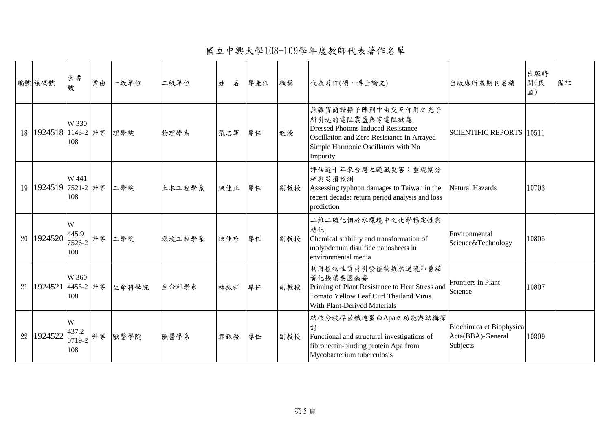國立中興大學108-109學年度教師代表著作名單

|                 | 編號條碼號             | 索書<br>號                           | 案由 | 一級單位  | 二級單位   | 姓<br>名 | 專兼任 | 職稱  | 代表著作(碩、博士論文)                                                                                                                                                                       | 出版處所或期刊名稱                                                 | 出版時<br>間(民<br>國) | 備註 |
|-----------------|-------------------|-----------------------------------|----|-------|--------|--------|-----|-----|------------------------------------------------------------------------------------------------------------------------------------------------------------------------------------|-----------------------------------------------------------|------------------|----|
| 18 <sup>1</sup> | 1924518 1143-2 升等 | W 330<br>108                      |    | 理學院   | 物理學系   | 張志軍    | 專任  | 教授  | 無雜質簡諧振子陣列中由交互作用之光子<br>所引起的電阻震盪與零電阻效應<br><b>Dressed Photons Induced Resistance</b><br>Oscillation and Zero Resistance in Arrayed<br>Simple Harmonic Oscillators with No<br>Impurity | <b>SCIENTIFIC REPORTS 10511</b>                           |                  |    |
| 19              | 1924519 7521-2 升等 | W 441<br>108                      |    | 工學院   | 土木工程學系 | 陳佳正    | 專任  | 副教授 | 評估近十年來台灣之颱風災害:重現期分<br>析與災損預測<br>Assessing typhoon damages to Taiwan in the<br>recent decade: return period analysis and loss<br>prediction                                         | Natural Hazards                                           | 10703            |    |
| 20              | 1924520           | W<br>445.9<br>$17526-2$ 升等<br>108 |    | 工學院   | 環境工程學系 | 陳佳吟    | 專任  | 副教授 | 二維二硫化钼於水環境中之化學穩定性與<br>轉化<br>Chemical stability and transformation of<br>molybdenum disulfide nanosheets in<br>environmental media                                                  | Environmental<br>Science&Technology                       | 10805            |    |
| 21              | 1924521 4453-2 升等 | W 360<br>108                      |    | 生命科學院 | 生命科學系  | 林振祥    | 專任  | 副教授 | 利用植物性資材引發植物抗熱逆境和番茄<br>黄化捲葉泰國病毒<br>Priming of Plant Resistance to Heat Stress and<br><b>Tomato Yellow Leaf Curl Thailand Virus</b><br>With Plant-Derived Materials                  | Frontiers in Plant<br>Science                             | 10807            |    |
| 22              | 1924522           | W<br>437.2<br>0719-2 升等<br>108    |    | 獸醫學院  | 獸醫學系   | 郭致榮    | 專任  | 副教授 | 結核分枝桿菌纖連蛋白Apa之功能與結構探<br>討<br>Functional and structural investigations of<br>fibronectin-binding protein Apa from<br>Mycobacterium tuberculosis                                     | Biochimica et Biophysica<br>Acta(BBA)-General<br>Subjects | 10809            |    |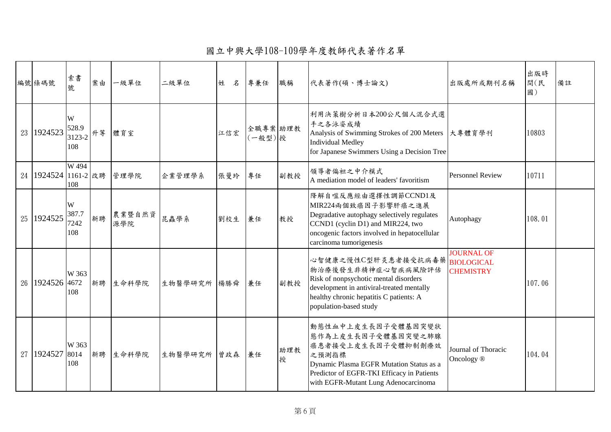國立中興大學108-109學年度教師代表著作名單

| 編號條碼號                    | 索書<br>號                        | 案由 | 一級單位          | 二級單位        | 名<br>姓 | 專兼任                | 職稱       | 代表著作(碩、博士論文)                                                                                                                                                                                                   | 出版處所或期刊名稱                                    | 出版時<br>間(民<br>國) | 備註 |
|--------------------------|--------------------------------|----|---------------|-------------|--------|--------------------|----------|----------------------------------------------------------------------------------------------------------------------------------------------------------------------------------------------------------------|----------------------------------------------|------------------|----|
| 23 1924523               | W<br>528.9<br>3123-2 升等<br>108 |    | 體育室           |             | 江信宏    | 全職專案 助理教<br>(一般型)授 |          | 利用決策樹分析日本200公尺個人混合式選<br>手之各泳姿成績<br>Analysis of Swimming Strokes of 200 Meters 大專體育學刊<br><b>Individual Medley</b><br>for Japanese Swimmers Using a Decision Tree                                                |                                              | 10803            |    |
| 24   1924524   1161-2 改聘 | W 494<br>108                   |    | 管理學院          | 企業管理學系      | 張曼玲    | 專任                 | 副教授      | 領導者偏袒之中介模式<br>A mediation model of leaders' favoritism                                                                                                                                                         | <b>Personnel Review</b>                      | 10711            |    |
| 25 1924525               | W<br>387.7<br>7242<br>108      | 新聘 | 農業暨自然資<br>源學院 | 昆蟲學系        | 劉校生    | 兼任                 | 教授       | 降解自噬反應經由選擇性調節CCND1及<br>MIR224兩個致癌因子影響肝癌之進展<br>Degradative autophagy selectively regulates<br>CCND1 (cyclin D1) and MIR224, two<br>oncogenic factors involved in hepatocellular<br>carcinoma tumorigenesis      | Autophagy                                    | 108.01           |    |
| 26 1924526 4672          | W 363<br>108                   | 新聘 | 生命科學院         | 生物醫學研究所 楊勝舜 |        | 兼任                 | 副教授      | 心智健康之慢性C型肝炎患者接受抗病毒藥BIOLOGICAL<br>物治療後發生非精神症心智疾病風險評估<br>Risk of nonpsychotic mental disorders<br>development in antiviral-treated mentally<br>healthy chronic hepatitis C patients: A<br>population-based study | <b>JOURNAL OF</b><br><b>CHEMISTRY</b>        | 107.06           |    |
| 27 1924527               | W 363<br>8014<br>108           | 新聘 | 生命科學院         | 生物醫學研究所 曾政森 |        | 兼任                 | 助理教<br>授 | 動態性血中上皮生長因子受體基因突變狀<br>態作為上皮生長因子受體基因突變之肺腺<br>癌患者接受上皮生長因子受體抑制劑療效<br>之預測指標<br>Dynamic Plasma EGFR Mutation Status as a<br>Predictor of EGFR-TKI Efficacy in Patients<br>with EGFR-Mutant Lung Adenocarcinoma      | Journal of Thoracic<br>Oncology <sup>®</sup> | 104.04           |    |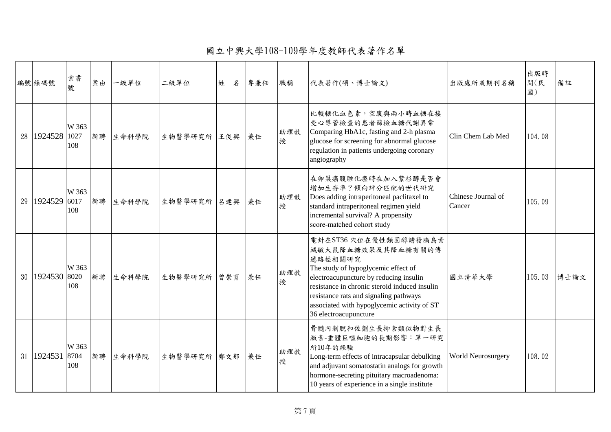國立中興大學108-109學年度教師代表著作名單

| 編號條碼號               | 索書<br>號              | 案由 | 一級單位  | 二級單位        | 名<br>姓 | 專兼任 | 職稱       | 代表著作(碩、博士論文)                                                                                                                                                                                                                                                                                               | 出版處所或期刊名稱                    | 出版時<br>間(民<br>國) | 備註   |
|---------------------|----------------------|----|-------|-------------|--------|-----|----------|------------------------------------------------------------------------------------------------------------------------------------------------------------------------------------------------------------------------------------------------------------------------------------------------------------|------------------------------|------------------|------|
| 28 1924528          | W 363<br>1027<br>108 | 新聘 | 生命科學院 | 生物醫學研究所 王俊興 |        | 兼任  | 助理教<br>授 | 比較糖化血色素,空腹與兩小時血糖在接<br>受心導管檢查的患者篩檢血糖代謝異常<br>Comparing HbA1c, fasting and 2-h plasma<br>glucose for screening for abnormal glucose<br>regulation in patients undergoing coronary<br>angiography                                                                                                              | Clin Chem Lab Med            | 104.08           |      |
| 29 1924529 6017     | W 363<br>108         | 新聘 | 生命科學院 | 生物醫學研究所 呂建興 |        | 兼任  | 助理教<br>授 | 在卵巢癌腹腔化療時在加入紫杉醇是否會<br>增加生存率?傾向評分匹配的世代研究<br>Does adding intraperitoneal paclitaxel to<br>standard intraperitoneal regimen yield<br>incremental survival? A propensity<br>score-matched cohort study                                                                                                         | Chinese Journal of<br>Cancer | 105.09           |      |
| 30 1924530 8020     | W 363<br>108         | 新聘 | 生命科學院 | 生物醫學研究所 曾崇育 |        | 兼任  | 助理教<br>授 | 電針在ST36 穴位在慢性類固醇誘發胰島素<br>減敏大鼠降血糖效果及其降血糖有關的傳<br>遞路徑相關研究<br>The study of hypoglycemic effect of<br>electroacupuncture by reducing insulin<br>resistance in chronic steroid induced insulin<br>resistance rats and signaling pathways<br>associated with hypoglycemic activity of ST<br>36 electroacupuncture | 國立清華大學                       | 105.03           | 博士論文 |
| 31   1924531   8704 | W 363<br>108         | 新聘 | 生命科學院 | 生物醫學研究所 鄭文郁 |        | 兼任  | 助理教<br>授 | 骨髓内剝脫和佐劑生長抑素類似物對生長<br>激素-垂體巨噬細胞的長期影響:單一研究<br>所10年的經驗<br>Long-term effects of intracapsular debulking<br>and adjuvant somatostatin analogs for growth<br>hormone-secreting pituitary macroadenoma:<br>10 years of experience in a single institute                                                          | World Neurosurgery           | 108.02           |      |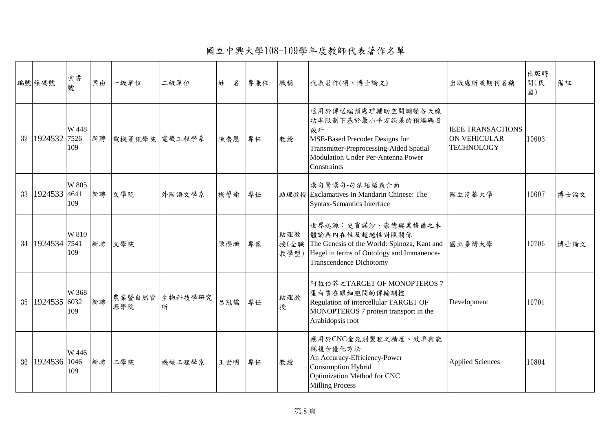國立中興大學108-109學年度教師代表著作名單

| 編號條碼號               | 索書<br>號              | 案由 | 一級單位          | 二級單位         | 姓<br>名 | 專兼任 | 職稱                  | 代表著作(碩、博士論文)                                                                                                                                                                     | 出版處所或期刊名稱                                                            | 出版時<br>間(民<br>國) | 備註   |
|---------------------|----------------------|----|---------------|--------------|--------|-----|---------------------|----------------------------------------------------------------------------------------------------------------------------------------------------------------------------------|----------------------------------------------------------------------|------------------|------|
| 32 1924532          | W 448<br>7526<br>109 | 新聘 | 電機資訊學院 電機工程學系 |              | 陳喬恩    | 專任  | 教授                  | 適用於傳送端預處理輔助空間調變各天線<br>功率限制下基於最小平方誤差的預編碼器<br>設計<br>MSE-Based Precoder Designs for<br>Transmitter-Preprocessing-Aided Spatial<br>Modulation Under Per-Antenna Power<br>Constraints | <b>IEEE TRANSACTIONS</b><br><b>ON VEHICULAR</b><br><b>TECHNOLOGY</b> | 10603            |      |
| 33 1924533 4641     | W 805<br>109         | 新聘 | 文學院           | 外國語文學系       | 楊謦瑜    | 專任  |                     | 漢句驚嘆句-句法語語義介面<br>助理教授 Exclamatives in Mandarin Chinese: The<br><b>Syntax-Semantics Interface</b>                                                                                 | 國立清華大學                                                               | 10607            | 博士論文 |
| 34   1924534   7541 | W 810<br>109         | 新聘 | 文學院           |              | 陳櫻珊    | 專案  | 助理教<br>授(全職<br>教學型) | 世界起源:史賓諾沙、康德與黑格爾之本<br>體論與內在性及超越性對照關係<br>The Genesis of the World: Spinoza, Kant and<br>Hegel in terms of Ontology and Immanence-<br><b>Transcendence Dichotomy</b>               | 國立臺灣大學                                                               | 10706            | 博士論文 |
| 35 1924535 6032     | W 368<br>109         | 新聘 | 農業暨自然資<br>源學院 | 生物科技學研究<br>所 | 呂冠儒    | 專任  | 助理教<br>授            | 阿拉伯芥之TARGET OF MONOPTEROS 7<br>蛋白質在跟細胞間的傳輸調控<br>Regulation of intercellular TARGET OF<br>MONOPTEROS 7 protein transport in the<br>Arabidopsis root                               | Development                                                          | 10701            |      |
| 36 1924536 1046     | W 446<br>109         |    | 新聘 工學院        | 機械工程學系       | 王世明    | 專任  | 教授                  | 應用於CNC金先削製程之精度、效率與能<br>耗複合優化方法<br>An Accuracy-Efficiency-Power<br>Consumption Hybrid<br>Optimization Method for CNC<br><b>Milling Process</b>                                    | <b>Applied Sciences</b>                                              | 10804            |      |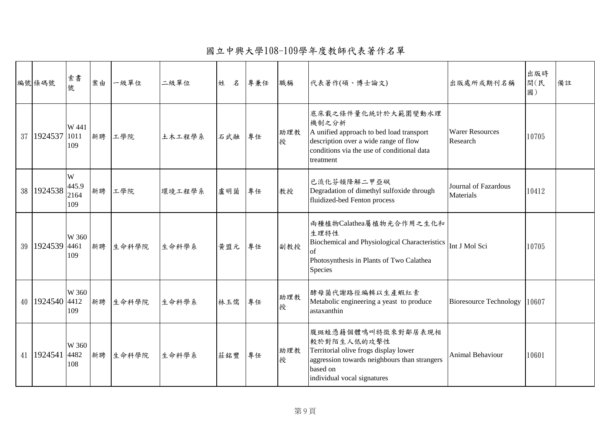國立中興大學108-109學年度教師代表著作名單

| 編號條碼號               | 索書<br>號                   | 案由 | 一級單位  | 二級單位   | 姓<br>名 | 專兼任 | 職稱       | 代表著作(碩、博士論文)                                                                                                                                                                | 出版處所或期刊名稱                                | 出版時<br>間(民<br>國) | 備註 |
|---------------------|---------------------------|----|-------|--------|--------|-----|----------|-----------------------------------------------------------------------------------------------------------------------------------------------------------------------------|------------------------------------------|------------------|----|
| 37 1924537          | W 441<br>1011<br>109      | 新聘 | 工學院   | 土木工程學系 | 石武融    | 專任  | 助理教<br>授 | 底床載之條件量化統計於大範圍變動水理<br>機制之分析<br>A unified approach to bed load transport<br>description over a wide range of flow<br>conditions via the use of conditional data<br>treatment | <b>Warer Resources</b><br>Research       | 10705            |    |
| 38 1924538          | W<br>445.9<br>2164<br>109 | 新聘 | 工學院   | 環境工程學系 | 盧明菌    | 專任  | 教授       | 已流化芬頓降解二甲亞砜<br>Degradation of dimethyl sulfoxide through<br>fluidized-bed Fenton process                                                                                    | Journal of Fazardous<br><b>Materials</b> | 10412            |    |
| 39 1924539 4461     | W 360<br>109              | 新聘 | 生命科學院 | 生命科學系  | 黄盟元    | 專任  | 副教授      | 兩種植物Calathea屬植物光合作用之生化和<br>生理特性<br>Biochemical and Physiological Characteristics Int J Mol Sci<br>lof<br>Photosynthesis in Plants of Two Calathea<br>Species                |                                          | 10705            |    |
| 40 1924540 4412     | W 360<br>109              | 新聘 | 生命科學院 | 生命科學系  | 林玉儒    | 專任  | 助理教<br>授 | 酵母菌代謝路徑編輯以生產蝦紅素<br>Metabolic engineering a yeast to produce<br>astaxanthin                                                                                                  | <b>Bioresource Technology</b>            | 10607            |    |
| 41   1924541   4482 | W 360<br>108              | 新聘 | 生命科學院 | 生命科學系  | 莊銘豐    | 專任  | 助理教<br>授 | 腹斑蛙憑藉個體鳴叫特徵來對鄰居表現相<br>較於對陌生人低的攻擊性<br>Territorial olive frogs display lower<br>aggression towards neighbours than strangers<br>based on<br>individual vocal signatures       | <b>Animal Behaviour</b>                  | 10601            |    |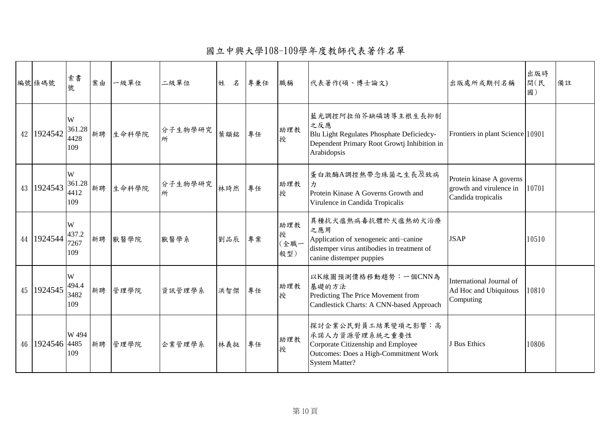國立中興大學108-109學年度教師代表著作名單

| 編號條碼號           | 索書<br>號                    | 案由 | 一級單位  | 二級單位         | 姓<br>名 | 專兼任 | 職稱                      | 代表著作(碩、博士論文)                                                                                                                                 | 出版處所或期刊名稱                                                                 | 出版時<br>間(民<br>國) | 備註 |
|-----------------|----------------------------|----|-------|--------------|--------|-----|-------------------------|----------------------------------------------------------------------------------------------------------------------------------------------|---------------------------------------------------------------------------|------------------|----|
| 42 1924542      | W<br>361.28<br>4428<br>109 | 新聘 | 生命科學院 | 分子生物學研究<br>所 | 葉顓銘    | 專任  | 助理教<br>授                | 藍光調控阿拉伯芥缺磷誘導主根生長抑制<br>之反應<br>Blu Light Regulates Phosphate Deficiedcy-<br>Dependent Primary Root Growtj Inhibition in<br>Arabidopsis         | Frontiers in plant Science 10901                                          |                  |    |
| 43 1924543      | W<br>361.28<br>4412<br>109 | 新聘 | 生命科學院 | 分子生物學研究<br>所 | 林琦然    | 專任  | 助理教<br>授                | 蛋白激酶A調控熱帶念珠菌之生長及致病<br>Protein Kinase A Governs Growth and<br>Virulence in Candida Tropicalis                                                 | Protein kinase A governs<br>growth and virulence in<br>Candida tropicalis | 10701            |    |
| 44 1924544      | W<br>437.2<br>7267<br>109  | 新聘 | 獸醫學院  | 獸醫學系         | 劉品辰    | 專案  | 助理教<br>授<br>(全職一<br>般型) | 異種抗犬瘟熱病毒抗體於犬瘟熱幼犬治療<br>之應用<br>Application of xenogeneic anti-canine<br>distemper virus antibodies in treatment of<br>canine distemper puppies | <b>JSAP</b>                                                               | 10510            |    |
| 45   1924545    | W<br>494.4<br>3482<br>109  | 新聘 | 管理學院  | 資訊管理學系       | 洪智傑    | 專任  | 助理教<br>授                | 以K線圖預測價格移動趨勢:一個CNN為<br>基礎的方法<br>Predicting The Price Movement from<br>Candlestick Charts: A CNN-based Approach                               | International Journal of<br>Ad Hoc and Ubiquitous<br>Computing            | 10810            |    |
| 46 1924546 4485 | W 494<br>109               | 新聘 | 管理學院  | 企業管理學系       | 林義挺    | 專任  | 助理教<br>授                | 探討企業公民對員工結果變項之影響:高<br>承諾人力資源管理系統之重要性<br>Corporate Citizenship and Employee<br>Outcomes: Does a High-Commitment Work<br><b>System Matter?</b> | J Bus Ethics                                                              | 10806            |    |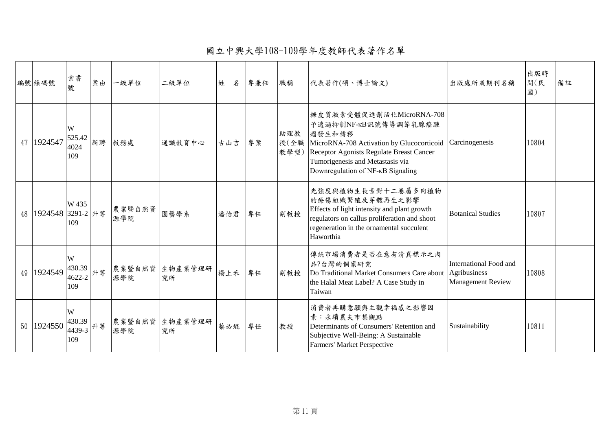國立中興大學108-109學年度教師代表著作名單

|        | 編號條碼號                      | 索書<br>號                            | 案由 | 一級單位          | 二級單位                 | 姓<br>名 | 專兼任 | 職稱          | 代表著作(碩、博士論文)                                                                                                                                                                                                                       | 出版處所或期刊名稱                                                          | 出版時<br>間(民<br>國) | 備註 |
|--------|----------------------------|------------------------------------|----|---------------|----------------------|--------|-----|-------------|------------------------------------------------------------------------------------------------------------------------------------------------------------------------------------------------------------------------------------|--------------------------------------------------------------------|------------------|----|
|        | 47 1924547                 | W<br>525.42<br>4024<br>109         | 新聘 | 教務處           | 通識教育中心               | 古山吉    | 專案  | 助理教<br>教學型) | 糖皮質激素受體促進劑活化MicroRNA-708<br>予透過抑制NF-KB訊號傳導調節乳腺癌腫<br>瘤發生和轉移<br> 授(全職 MicroRNA-708 Activation by Glucocorticoid<br>Receptor Agonists Regulate Breast Cancer<br>Tumorigenesis and Metastasis via<br>Downregulation of NF-KB Signaling | Carcinogenesis                                                     | 10804            |    |
|        | 48   1924548   3291-2   升等 | W 435<br>109                       |    | 農業暨自然資<br>源學院 | 園藝學系                 | 潘怡君    | 專任  | 副教授         | 光強度與植物生長素對十二卷屬多肉植物<br>的療傷組織繁殖及芽體再生之影響<br>Effects of light intensity and plant growth<br>regulators on callus proliferation and shoot<br>regeneration in the ornamental succulent<br>Haworthia                                      | <b>Botanical Studies</b>                                           | 10807            |    |
| 49     | 1924549                    | W<br>430.39<br>$14622-2$ 升等<br>109 |    | 源學院           | 農業暨自然資 生物產業管理研<br>究所 | 楊上禾    | 專任  | 副教授         | 傳統市場消費者是否在意有清真標示之肉<br>品?台灣的個案研究<br>Do Traditional Market Consumers Care about<br>the Halal Meat Label? A Case Study in<br>Taiwan                                                                                                   | International Food and<br>Agribusiness<br><b>Management Review</b> | 10808            |    |
| $50-1$ | 1924550                    | W<br>430.39<br>4439-3<br>109       | 升等 | 農業暨自然資<br>源學院 | 生物產業管理研<br>究所        | 蔡必焜    | 專任  | 教授          | 消費者再購意願與主觀幸福感之影響因<br>素:永續農夫市集觀點<br>Determinants of Consumers' Retention and<br>Subjective Well-Being: A Sustainable<br>Farmers' Market Perspective                                                                                 | Sustainability                                                     | 10811            |    |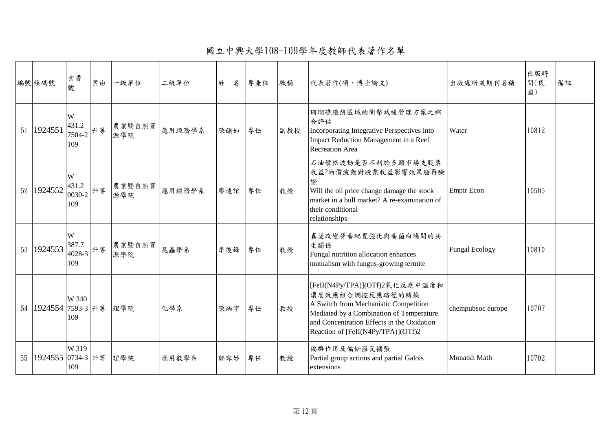國立中興大學108-109學年度教師代表著作名單

| 編號條碼號                      | 索書<br>號                                                         | 案由 | 一級單位          | 二級單位   | 姓<br>名 | 專兼任 | 職稱  | 代表著作(碩、博士論文)                                                                                                                                                                                                               | 出版處所或期刊名稱             | 出版時<br>間(民<br>國) | 備註 |
|----------------------------|-----------------------------------------------------------------|----|---------------|--------|--------|-----|-----|----------------------------------------------------------------------------------------------------------------------------------------------------------------------------------------------------------------------------|-----------------------|------------------|----|
| 51 1924551                 | W<br>431.2<br>7504-2<br>109                                     | 升等 | 農業暨自然資<br>源學院 | 應用經濟學系 | 陳韻如    | 專任  | 副教授 | 珊瑚礁遊憩區域的衝擊減緩管理方案之綜<br>合評估<br>Incorporating Integrative Perspectives into<br>Impact Reduction Management in a Reef<br><b>Recreation Area</b>                                                                                | Water                 | 10812            |    |
| 52 1924552                 | W<br>431.2<br>$\begin{bmatrix} 10030-2 \end{bmatrix}$ 升等<br>109 |    | 農業暨自然資<br>源學院 | 應用經濟學系 | 廖述誼    | 專任  | 教授  | 石油價格波動是否不利於多頭市場支股票<br>收益?油價波動對股票收益影響效果脂再驗<br>證<br>Will the oil price change damage the stock<br>market in a bull market? A re-examination of<br>their conditional<br>relationships                                         | Empir Econ            | 10505            |    |
| 53 1924553                 | W<br>387.7<br>$14028-3$ 升等<br>109                               |    | 農業暨自然資<br>源學院 | 昆蟲學系   | 李後鋒    | 專任  | 教授  | 真菌改變營養配置強化與養菌白蟻間的共<br>生關係<br>Fungal nutrition allocation enhances<br>mutualism with fungus-growing termite                                                                                                                 | <b>Fungal Ecology</b> | 10810            |    |
| 54   1924554   7593-3   升等 | W 340<br>109                                                    |    | 理學院           | 化學系    | 陳炳宇    | 專任  | 教授  | [FeII(N4Py/TPA)](OTf)2氧化反應中溫度和<br>濃度效應組合調控反應路徑的轉換<br>A Switch from Mechanistic Competition<br>Mediated by a Combination of Temperature<br>and Concentration Effects in the Oxidation<br>Reaction of [FeII(N4Py/TPA)](OTf)2 | chempubsoc europe     | 10707            |    |
| 55 1924555 0734-3 升等       | W 319<br>109                                                    |    | 理學院           | 應用數學系  | 郭容妙    | 專任  | 教授  | 偏群作用及偏伽羅瓦擴張<br>Partial group actions and partial Galois<br>extensions                                                                                                                                                      | <b>Monatsh Math</b>   | 10702            |    |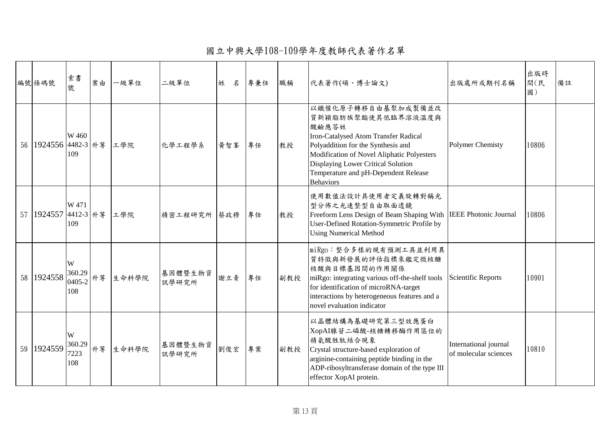國立中興大學108-109學年度教師代表著作名單

|    | 編號條碼號                | 索書<br>號                      | 案由 | 一級單位     | 二級單位                   | 姓<br>名 | 專兼任 | 職稱  | 代表著作(碩、博士論文)                                                                                                                                                                                                                                                                    | 出版處所或期刊名稱                                      | 出版時<br>間(民<br>國) | 備註 |
|----|----------------------|------------------------------|----|----------|------------------------|--------|-----|-----|---------------------------------------------------------------------------------------------------------------------------------------------------------------------------------------------------------------------------------------------------------------------------------|------------------------------------------------|------------------|----|
|    | 56 1924556 4482-3 升等 | W 460<br>109                 |    | 工學院      | 化學工程學系                 | 黄智峯    | 專任  | 教授  | 以鐵催化原子轉移自由基聚加成製備並改<br>質新穎脂肪族聚酯使其低臨界溶液溫度與<br>酸鹼應答姓<br>Iron-Catalysed Atom Transfer Radical<br>Polyaddition for the Synthesis and<br>Modification of Novel Aliphatic Polyesters<br>Displaying Lower Critical Solution<br>Temperature and pH-Dependent Release<br><b>Behaviors</b> | <b>Polymer Chemisty</b>                        | 10806            |    |
|    | 57 1924557 4412-3 升等 | W 471<br>109                 |    | 工學院      | 精密工程研究所 蔡政穆            |        | 專任  | 教授  | 使用數值法設計具使用者定義旋轉對稱光<br>型分佈之光速整型自由取面透鏡<br>Freeform Lens Design of Beam Shaping With IEEE Photonic Journal<br>User-Defined Rotation-Symmetric Profile by<br><b>Using Numerical Method</b>                                                                                          |                                                | 10806            |    |
|    | 58 1924558           | W<br>360.29<br>0405-2<br>108 |    | 升等 生命科學院 | 基因體暨生物資   謝立青<br>訊學研究所 |        | 專任  | 副教授 | miRgo:整合多樣的現有預測工具並利用異<br>質特徵與新發展的評估指標來鑑定微核醣<br>核酸與目標基因間的作用關係<br>miRgo: integrating various off-the-shelf tools<br>for identification of microRNA-target<br>interactions by heterogeneous features and a<br>novel evaluation indicator                                           | <b>Scientific Reports</b>                      | 10901            |    |
| 59 | 1924559              | W<br>360.29<br>7223<br>108   | 升等 | 生命科學院    | 基因體暨生物資<br>訊學研究所       | 劉俊宏    | 專案  | 副教授 | 以晶體結構為基礎研究第三型效應蛋白<br>XopAI腺苷二磷酸-核糖轉移酶作用區位的<br>精氨酸胜肽結合現象<br>Crystal structure-based exploration of<br>arginine-containing peptide binding in the<br>ADP-ribosyltransferase domain of the type IlI<br>effector XopAI protein.                                                     | International journal<br>of molecular sciences | 10810            |    |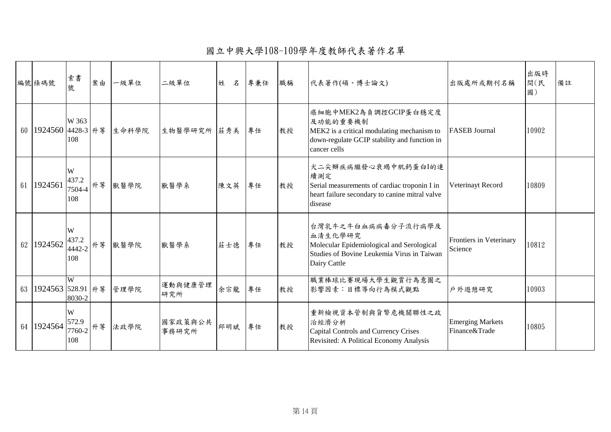國立中興大學108-109學年度教師代表著作名單

|    | 編號條碼號                | 索書<br>號                          | 案由 | 一級單位  | 二級單位             | 姓<br>名 | 專兼任 | 職稱 | 代表著作(碩、博士論文)                                                                                                                                    | 出版處所或期刊名稱                                | 出版時<br>間(民<br>國) | 備註 |
|----|----------------------|----------------------------------|----|-------|------------------|--------|-----|----|-------------------------------------------------------------------------------------------------------------------------------------------------|------------------------------------------|------------------|----|
|    | 60 1924560 4428-3 升等 | W 363<br>108                     |    | 生命科學院 | 生物醫學研究所 莊秀美      |        | 專任  | 教授 | 癌細胞中MEK2為負調控GCIP蛋白穩定度<br>及功能的重要機制<br>MEK2 is a critical modulating mechanism to<br>down-regulate GCIP stability and function in<br>cancer cells | <b>FASEB</b> Journal                     | 10902            |    |
| 61 | 1924561              | W<br>437.2<br>7504-4<br>108      | 升等 | 獸醫學院  | 獸醫學系             | 陳文英    | 專任  | 教授 | 大二尖瓣疾病繼發心衰竭中肌鈣蛋白I的連<br>續測定<br>Serial measurements of cardiac troponin I in<br>heart failure secondary to canine mitral valve<br>disease         | Veterinayt Record                        | 10809            |    |
|    | 62 1924562           | W<br>437.2<br>14442-2 升等<br>108  |    | 獸醫學院  | 獸醫學系             | 莊士德    | 專任  | 教授 | 台灣乳牛之牛白血病病毒分子流行病學及<br>血清生化學研究<br>Molecular Epidemiological and Serological<br>Studies of Bovine Leukemia Virus in Taiwan<br>Dairy Cattle        | Frontiers in Veterinary<br>Science       | 10812            |    |
|    | 63 1924563 528.91 升等 | W<br>8030-2                      |    | 管理學院  | 運動與健康管理<br>研究所   | 余宗龍    | 專任  | 教授 | 職業棒球比賽現場大學生觀賞行為意圖之<br>影響因素:目標導向行為模式觀點                                                                                                           | 戶外遊憩研究                                   | 10903            |    |
|    | 64 1924564           | W<br>572.9<br>$7760-2$ 升等<br>108 |    | 法政學院  | 國家政策與公共<br>事務研究所 | 邱明斌    | 專任  | 教授 | 重新檢視資本管制與貨幣危機關聯性之政<br>治經濟分析<br>Capital Controls and Currency Crises<br>Revisited: A Political Economy Analysis                                  | <b>Emerging Markets</b><br>Finance&Trade | 10805            |    |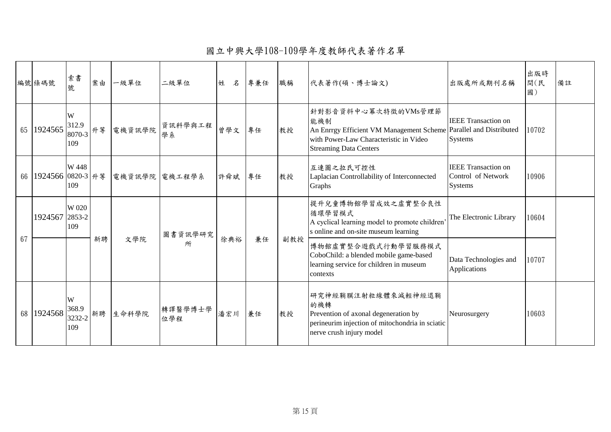國立中興大學108-109學年度教師代表著作名單

|    | 編號條碼號                | 索書<br>號                     | 案由 | 一級單位          | 二級單位           | 姓<br>名 | 專兼任 | 職稱  | 代表著作(碩、博士論文)                                                                                                                                                               | 出版處所或期刊名稱                                                   | 出版時<br>間(民<br>國) | 備註 |
|----|----------------------|-----------------------------|----|---------------|----------------|--------|-----|-----|----------------------------------------------------------------------------------------------------------------------------------------------------------------------------|-------------------------------------------------------------|------------------|----|
| 65 | 1924565              | W<br>312.9<br>8070-3<br>109 | 升等 | 電機資訊學院        | 資訊科學與工程<br>學系  | 曾學文    | 專任  | 教授  | 針對影音資料中心冪次特徵的VMs管理節<br>能機制<br>An Enrrgy Efficient VM Management Scheme Parallel and Distributed<br>with Power-Law Characteristic in Video<br><b>Streaming Data Centers</b> | <b>IEEE</b> Transaction on<br>Systems                       | 10702            |    |
|    | 66 1924566 0820-3 升等 | W 448<br>109                |    | 電機資訊學院 電機工程學系 |                | 許舜斌    | 專任  | 教授  | 互連圖之拉氏可控性<br>Laplacian Controllability of Interconnected<br>Graphs                                                                                                         | <b>IEEE</b> Transaction on<br>Control of Network<br>Systems | 10906            |    |
|    | 1924567 2853-2       | W 020<br>109                |    |               | 圖書資訊學研究        |        |     |     | 提升兒童博物館學習成效之虛實整合良性<br>循環學習模式<br>A cyclical learning model to promote children<br>s online and on-site museum learning                                                      | The Electronic Library                                      | 10604            |    |
| 67 |                      |                             | 新聘 | 文學院           | 所              | 徐典裕    | 兼任  | 副教授 | 博物館虛實整合遊戲式行動學習服務模式<br>CoboChild: a blended mobile game-based<br>learning service for children in museum<br>contexts                                                        | Data Technologies and<br>Applications                       | 10707            |    |
| 68 | 1924568              | W<br>368.9<br>3232-2<br>109 | 新聘 | 生命科學院         | 轉譯醫學博士學<br>位學程 | 潘宏川    | 兼任  | 教授  | 研究神經鞘膜注射粒線體來減輕神經退鞘<br>的機轉<br>Prevention of axonal degeneration by<br>perineurim injection of mitochondria in sciatic<br>nerve crush injury model                           | Neurosurgery                                                | 10603            |    |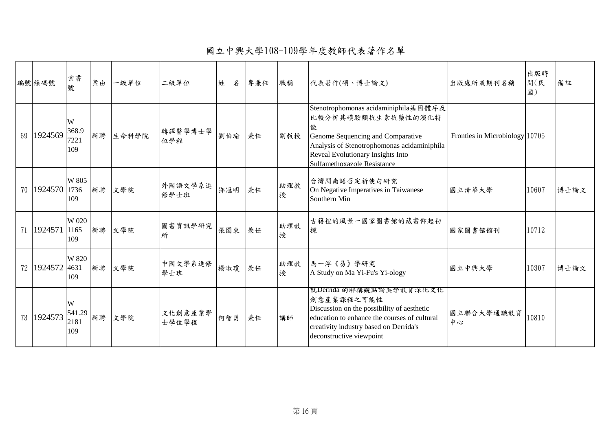國立中興大學108-109學年度教師代表著作名單

|      | 編號條碼號   | 索書<br>號                    | 案由 | 一級單位  | 二級單位             | 姓<br>名 | 專兼任 | 職稱       | 代表著作(碩、博士論文)                                                                                                                                                                                                                   | 出版處所或期刊名稱                      | 出版時<br>間(民<br>國) | 備註   |
|------|---------|----------------------------|----|-------|------------------|--------|-----|----------|--------------------------------------------------------------------------------------------------------------------------------------------------------------------------------------------------------------------------------|--------------------------------|------------------|------|
| 69   | 1924569 | W<br>368.9<br>7221<br>109  | 新聘 | 生命科學院 | 轉譯醫學博士學<br>位學程   | 劉伯瑜    | 兼任  | 副教授      | Stenotrophomonas acidaminiphila基因體序及<br>比較分析其磺胺類抗生素抗藥性的演化特<br>徵<br>Genome Sequencing and Comparative<br>Analysis of Stenotrophomonas acidaminiphila<br>Reveal Evolutionary Insights Into<br><b>Sulfamethoxazole Resistance</b> | Fronties in Microbiology 10705 |                  |      |
| 70 l | 1924570 | W 805<br>1736<br>109       | 新聘 | 文學院   | 外國語文學系進<br>修學士班  | 鄧冠明    | 兼任  | 助理教<br>授 | 台灣閩南語否定祈使句研究<br>On Negative Imperatives in Taiwanese<br>Southern Min                                                                                                                                                           | 國立清華大學                         | 10607            | 博士論文 |
| 71   | 1924571 | W 020<br>1165<br>109       | 新聘 | 文學院   | 圖書資訊學研究<br>所     | 張圍東    | 兼任  | 助理教<br>授 | 古籍裡的風景一國家圖書館的藏書仰起初<br>探                                                                                                                                                                                                        | 國家圖書館館刊                        | 10712            |      |
| 72   | 1924572 | W 820<br>4631<br>109       | 新聘 | 文學院   | 中國文學系進修<br>學士班   | 楊淑瓊    | 兼任  | 助理教<br>授 | 馬一浮《易》學研究<br>A Study on Ma Yi-Fu's Yi-ology                                                                                                                                                                                    | 國立中興大學                         | 10307            | 博士論文 |
| 73   | 1924573 | W<br>541.29<br>2181<br>109 | 新聘 | 文學院   | 文化創意產業學<br>士學位學程 | 何智勇    | 兼任  | 講師       | 就Derrida 的解構觀點論美学教育深化文化<br>創意產業課程之可能性<br>Discussion on the possibility of aesthetic<br>education to enhance the courses of cultural<br>creativity industry based on Derrida's<br>deconstructive viewpoint                      | 國立聯合大學通識教育<br>中心               | 10810            |      |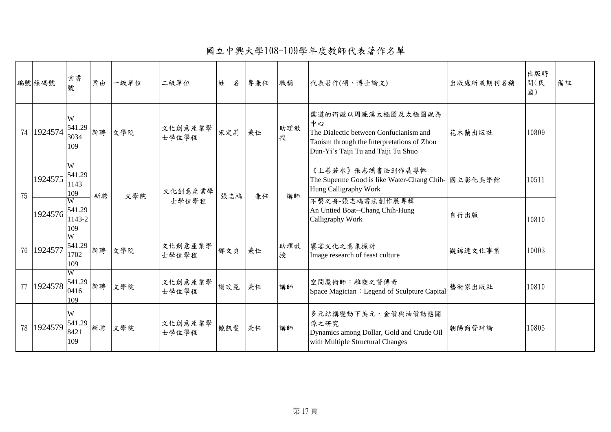國立中興大學108-109學年度教師代表著作名單

|    | 編號條碼號   | 索書<br>號                                        | 案由 | 一級單位 | 二級單位             | 姓<br>名 | 專兼任 | 職稱       | 代表著作(碩、博士論文)                                                                                                                                            | 出版處所或期刊名稱 | 出版時<br>間(民<br>國) | 備註 |
|----|---------|------------------------------------------------|----|------|------------------|--------|-----|----------|---------------------------------------------------------------------------------------------------------------------------------------------------------|-----------|------------------|----|
| 74 | 1924574 | W<br>541.29<br>3034<br>109                     | 新聘 | 文學院  | 文化創意產業學<br>士學位學程 | 宋定莉    | 兼任  | 助理教<br>授 | 儒道的辩證以周濂溪太極圖及太極圖說為<br>中心<br>The Dialectic between Confucianism and<br>Taoism through the Interpretations of Zhou<br>Dun-Yi's Taiji Tu and Taiji Tu Shuo | 花木蘭出版社    | 10809            |    |
| 75 | 1924575 | W<br>541.29<br>1143<br>109                     | 新聘 | 文學院  | 文化創意產業學          | 張志鴻    | 兼任  | 講師       | 《上善若水》張志鴻書法創作展專輯<br>The Superme Good is like Water-Chang Chih- 國立彰化美學館<br>Hung Calligraphy Work                                                         |           | 10511            |    |
|    | 1924576 | w<br>541.29<br>1143-2<br>109                   |    |      | 士學位學程            |        |     |          | 不繫之舟-張志鴻書法創作展專輯<br>An Untied Boat--Chang Chih-Hung<br>Calligraphy Work                                                                                  | 自行出版      | 10810            |    |
| 76 | 1924577 | W<br>541.29<br>1702<br>109                     | 新聘 | 文學院  | 文化創意產業學<br>士學位學程 | 鄧文貞    | 兼任  | 助理教<br>授 | 饗宴文化之意象探討<br>Image research of feast culture                                                                                                            | 觀錦達文化事業   | 10003            |    |
| 77 | 1924578 | $\overline{\text{W}}$<br>541.29<br>0416<br>109 | 新聘 | 文學院  | 文化創意產業學<br>士學位學程 | 謝玫晃    | 兼任  | 講師       | 空間魔術師:雕塑之督傳奇<br>Space Magician: Legend of Sculpture Capital                                                                                             | 藝術家出版社    | 10810            |    |
| 78 | 1924579 | W<br>541.29<br>8421<br>109                     | 新聘 | 文學院  | 文化創意產業學<br>士學位學程 | 饒凱斐    | 兼任  | 講師       | 多元結構變動下美元、金價與油價動態關<br>係之研究<br>Dynamics among Dollar, Gold and Crude Oil<br>with Multiple Structural Changes                                             | 朝陽商管評論    | 10805            |    |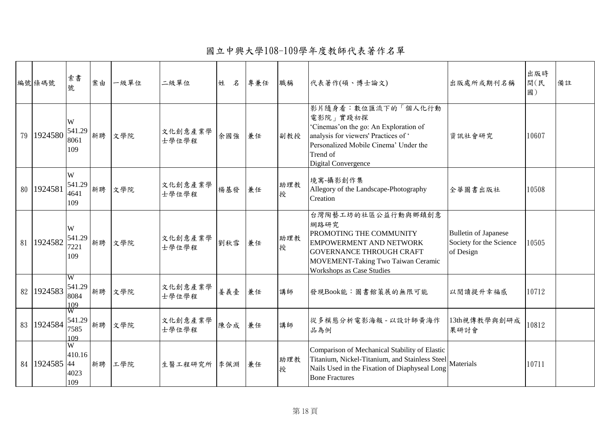國立中興大學108-109學年度教師代表著作名單

|    | 編號條碼號        | 索書<br>號                                 | 案由 | 一級單位   | 二級單位             | 姓<br>名 | 專兼任 | 職稱       | 代表著作(碩、博士論文)                                                                                                                                                                                 | 出版處所或期刊名稱                                                           | 出版時<br>間(民<br>國) | 備註 |
|----|--------------|-----------------------------------------|----|--------|------------------|--------|-----|----------|----------------------------------------------------------------------------------------------------------------------------------------------------------------------------------------------|---------------------------------------------------------------------|------------------|----|
| 79 | 1924580      | W<br>541.29<br>8061<br>109              | 新聘 | 文學院    | 文化創意產業學<br>士學位學程 | 余國強    | 兼任  | 副教授      | 影片隨身看:數位匯流下的「個人化行動<br>電影院」實踐初探<br>'Cinemas' on the go: An Exploration of<br>analysis for viewers' Practices of '<br>Personalized Mobile Cinema' Under the<br>Trend of<br>Digital Convergence | 資訊社會研究                                                              | 10607            |    |
|    | 80 1924581   | W<br>541.29<br>4641<br>109              | 新聘 | 文學院    | 文化創意產業學<br>士學位學程 | 楊基發    | 兼任  | 助理教<br>授 | 境寓-攝影創作集<br>Allegory of the Landscape-Photography<br>Creation                                                                                                                                | 全華圖書出版社                                                             | 10508            |    |
|    | 81 1924582   | W<br>541.29<br>7221<br>109              | 新聘 | 文學院    | 文化創意產業學<br>士學位學程 | 劉秋雪    | 兼任  | 助理教<br>授 | 台灣陶藝工坊的社區公益行動與鄉鎮創意<br>網路研究<br>PROMOTING THE COMMUNITY<br>EMPOWERMENT AND NETWORK<br><b>GOVERNANCE THROUGH CRAFT</b><br>MOVEMENT-Taking Two Taiwan Ceramic<br>Workshops as Case Studies       | <b>Bulletin of Japanese</b><br>Society for the Science<br>of Design | 10505            |    |
|    | 82 1924583   | $\overline{W}$<br>541.29<br>8084<br>109 | 新聘 | 文學院    | 文化創意產業學<br>士學位學程 | 姜義臺    | 兼任  | 講師       | 發現Book能:圖書館策展的無限可能                                                                                                                                                                           | 以閱讀提升幸福感                                                            | 10712            |    |
|    | 83 1924584   | w<br>541.29<br>7585<br>109              | 新聘 | 文學院    | 文化創意產業學<br>士學位學程 | 陳合成    | 兼任  | 講師       | 從多模態分析電影海報 - 以設計師黃海作<br>品為例                                                                                                                                                                  | 13th視傳教學與創研成<br>果研討會                                                | 10812            |    |
|    | 84   1924585 | W<br>410.16<br>44<br>4023<br>109        |    | 新聘 工學院 | 生醫工程研究所 李佩淵      |        | 兼任  | 助理教<br>授 | Comparison of Mechanical Stability of Elastic<br>Titanium, Nickel-Titanium, and Stainless Steel Materials<br>Nails Used in the Fixation of Diaphyseal Long<br><b>Bone Fractures</b>          |                                                                     | 10711            |    |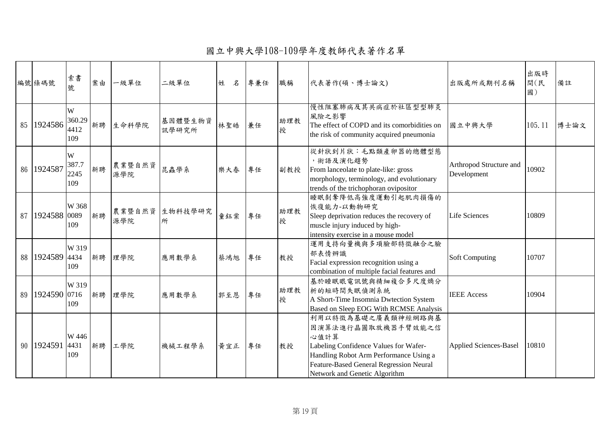國立中興大學108-109學年度教師代表著作名單

|    | 編號條碼號        | 索書<br>號                    | 案由 | 一級單位          | 二級單位             | 姓<br>名 | 專兼任 | 職稱       | 代表著作(碩、博士論文)                                                                                                                                                                                                    | 出版處所或期刊名稱                              | 出版時<br>間(民<br>國) | 備註   |
|----|--------------|----------------------------|----|---------------|------------------|--------|-----|----------|-----------------------------------------------------------------------------------------------------------------------------------------------------------------------------------------------------------------|----------------------------------------|------------------|------|
| 85 | 1924586      | W<br>360.29<br>4412<br>109 | 新聘 | 生命科學院         | 基因體暨生物資<br>訊學研究所 | 林聖皓    | 兼任  | 助理教<br>授 | 慢性阻塞肺病及其共病症於社區型型肺炎<br>風險之影響<br>The effect of COPD and its comorbidities on<br>the risk of community acquired pneumonia                                                                                          | 國立中興大學                                 | 105.11           | 博士論文 |
|    | 86 1924587   | W<br>387.7<br>2245<br>109  | 新聘 | 農業暨自然資<br>源學院 | 昆蟲學系             | 樂大春    | 專任  | 副教授      | 從針狀到片狀:毛點類產卵器的總體型態<br>,術語及演化趨勢<br>From lanceolate to plate-like: gross<br>morphology, terminology, and evolutionary<br>trends of the trichophoran ovipositor                                                    | Arthropod Structure and<br>Development | 10902            |      |
| 87 | 1924588      | W 368<br>0089<br>109       | 新聘 | 農業暨自然資<br>源學院 | 生物科技學研究<br>所     | 童鈺棠    | 專任  | 助理教<br>授 | 睡眠剝奪降低高強度運動引起肌肉損傷的<br>恢復能力-以動物研究<br>Sleep deprivation reduces the recovery of<br>muscle injury induced by high-<br>intensity exercise in a mouse model                                                          | <b>Life Sciences</b>                   | 10809            |      |
|    | 88 1924589   | W 319<br>4434<br>109       | 新聘 | 理學院           | 應用數學系            | 蔡鴻旭    | 專任  | 教授       | 運用支持向量機與多項臉部特徵融合之臉<br>部表情辨識<br>Facial expression recognition using a<br>combination of multiple facial features and                                                                                             | <b>Soft Computing</b>                  | 10707            |      |
| 89 | 1924590 0716 | W 319<br>109               | 新聘 | 理學院           | 應用數學系            | 郭至恩    | 專任  | 助理教<br>授 | 基於睡眠眼電訊號與精細複合多尺度熵分<br>析的短時間失眠偵測系統<br>A Short-Time Insomnia Dwtection System<br>Based on Sleep EOG With RCMSE Analysis                                                                                           | <b>IEEE</b> Access                     | 10904            |      |
|    | 90 1924591   | W 446<br>4431<br>109       | 新聘 | 工學院           | 機械工程學系           | 黄宜正    | 專任  | 教授       | 利用以特徵為基礎之廣義類神經網路與基<br>因演算法進行晶圓取放機器手臂效能之信<br>心值計算<br>Labeling Confidence Values for Wafer-<br>Handling Robot Arm Performance Using a<br>Feature-Based General Regression Neural<br>Network and Genetic Algorithm | <b>Applied Sciences-Basel</b>          | 10810            |      |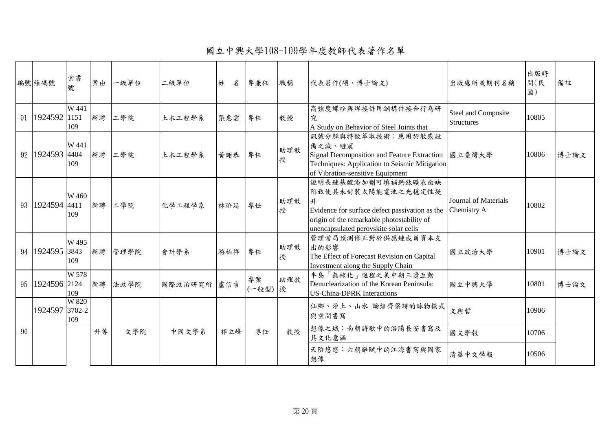國立中興大學108-109學年度教師代表著作名單

|    | 編號條碼號               | 索書<br>號              | 案由 | 一級單位 | 二級單位        | 姓<br>名 | 專兼任         | 職稱       | 代表著作(碩、博士論文)                                                                                                                                                                           | 出版處所或期刊名稱                                  | 出版時<br>間(民<br>國) | 備註   |
|----|---------------------|----------------------|----|------|-------------|--------|-------------|----------|----------------------------------------------------------------------------------------------------------------------------------------------------------------------------------------|--------------------------------------------|------------------|------|
|    | 91   1924592        | W 441<br>1151<br>109 | 新聘 | 工學院  | 土木工程學系      | 張惠雲    | 專任          | 教授       | 高強度螺栓與焊接併用鋼構件接合行為研<br>究<br>A Study on Behavior of Steel Joints that                                                                                                                    | Steel and Composite<br><b>Structures</b>   | 10805            |      |
|    | 92   1924593   4404 | W 441<br>109         | 新聘 | 工學院  | 土木工程學系      | 黄謝恭    | 專任          | 助理教<br>授 | 訊號分解與特徵萃取技術:應用於敏感設<br>備之減、避震<br>Signal Decomposition and Feature Extraction   國立臺灣大學<br>Techniques: Application to Seismic Mitigation<br>of Vibration-sensitive Equipment              |                                            | 10806            | 博士論文 |
|    | 93   1924594   4411 | W 460<br>109         | 新聘 | 工學院  | 化學工程學系      | 林玠廷    | 專任          | 助理教<br>授 | 證明長鏈基酸添加劑可填補鈣鈦礦表面缺<br>陷致使其未封裝太陽能電池之光穩定性提<br>升<br>Evidence for surface defect passivation as the<br>origin of the remarkable photostability of<br>unencapsulated perovskite solar cells | <b>Journal of Materials</b><br>Chemistry A | 10802            |      |
|    | 94 1924595 3843     | W 495<br>109         | 新聘 | 管理學院 | 會計學系        | 游柏祥    | 專任          | 助理教<br>授 | 管理當局預測修正對於供應鏈成員資本支<br>出的影響<br>The Effect of Forecast Revision on Capital<br>Investment along the Supply Chain                                                                          | 國立政治大學                                     | 10901            | 博士論文 |
|    | 95   1924596   2124 | W 578<br>109         | 新聘 | 法政學院 | 國際政治研究所 盧信吉 |        | 專案<br>(一般型) | 助理教<br>授 | 半島「無核化」進程之美中朝三邊互動<br>Denuclearization of the Korean Peninsula:<br><b>US-China-DPRK</b> Interactions                                                                                    | 國立中興大學                                     | 10801            | 博士論文 |
|    | 1924597 3702-2      | W 820<br>109         |    |      |             |        |             |          | 仙鄉、淨土、山水-論組齊梁詩的詠物模式<br>與空間書寫                                                                                                                                                           | 文與哲                                        | 10906            |      |
| 96 |                     |                      | 升等 | 文學院  | 中國文學系       | 祁立峰    | 專任          | 教授       | 想像之城:南朝詩歌中的洛陽長安書寫及<br>其文化意涵                                                                                                                                                            | 國文學報                                       | 10706            |      |
|    |                     |                      |    |      |             |        |             |          | 天險悠悠:六朝辭賦中的江海書寫與國家<br>想像                                                                                                                                                               | 清華中文學報                                     | 10506            |      |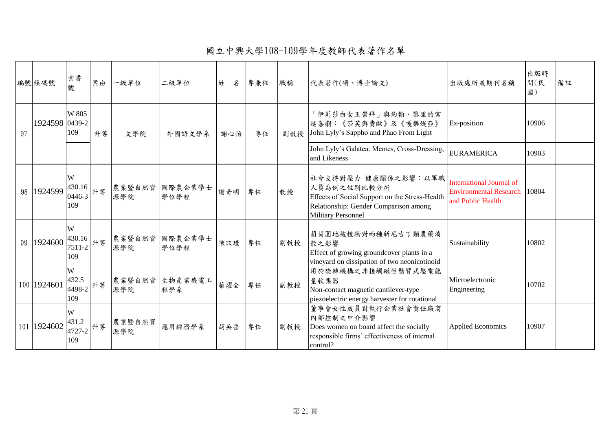國立中興大學108-109學年度教師代表著作名單

|    | 編號條碼號          | 索書<br>號                         | 案由 | 一級單位          | 二級單位            | 姓<br>名 | 專兼任 | 職稱  | 代表著作(碩、博士論文)                                                                                                                                               | 出版處所或期刊名稱                                                                             | 出版時<br>間(民<br>國) | 備註 |
|----|----------------|---------------------------------|----|---------------|-----------------|--------|-----|-----|------------------------------------------------------------------------------------------------------------------------------------------------------------|---------------------------------------------------------------------------------------|------------------|----|
| 97 | 1924598 0439-2 | W 805<br>109                    | 升等 | 文學院           | 外國語文學系          | 謝心怡    | 專任  | 副教授 | 「伊莉莎白女王崇拜」與約翰·黎里的宮<br>廷喜劇:《莎芙與費歐》及《嘎樂媞亞》<br>John Lyly's Sappho and Phao From Light                                                                         | Ex-position                                                                           | 10906            |    |
|    |                |                                 |    |               |                 |        |     |     | John Lyly's Galatea: Memes, Cross-Dressing,<br>and Likeness                                                                                                | <b>EURAMERICA</b>                                                                     | 10903            |    |
|    | 98 1924599     | W<br>430.16<br>0446-3<br>109    | 升等 | 農業暨自然資<br>源學院 | 國際農企業學士<br>學位學程 | 謝奇明    | 專任  | 教授  | 社會支持對壓力-健康關係之影響:以軍職<br>人員為例之性別比較分析<br>Effects of Social Support on the Stress-Health<br>Relationship: Gender Comparison among<br><b>Military Personnel</b> | <b>International Journal of</b><br><b>Environmental Research</b><br>and Public Health | 10804            |    |
|    | 99   1924600   | W<br>430.16<br>7511-2<br>109    | 升等 | 農業暨自然資<br>源學院 | 國際農企業學士<br>學位學程 | 陳玟瑾    | 專任  | 副教授 | 葡萄園地被植物對兩種新尼古丁類農藥消<br>散之影響<br>Effect of growing groundcover plants in a<br>vineyard on dissipation of two neonicotinoid                                    | Sustainability                                                                        | 10802            |    |
|    | 100 1924601    | W<br>432.5<br>14498-2 丹等<br>109 |    | 農業暨自然資<br>源學院 | 生物產業機電工<br>程學系  | 蔡燿全    | 專任  | 副教授 | 用於旋轉機構之非接觸磁性懸臂式壓電能<br>量收集器<br>Non-contact magnetic cantilever-type<br>piezoelectric energy harvester for rotational                                        | Microelectronic<br>Engineering                                                        | 10702            |    |
|    | 101 1924602    | W<br>431.2<br>14727-2 升等<br>109 |    | 農業暨自然資<br>源學院 | 應用經濟學系          | 胡吳岳    | 專任  | 副教授 | 董事會女性成員對執行企業社會責任廠商<br>內部控制之中介影響<br>Does women on board affect the socially<br>responsible firms' effectiveness of internal<br>control?                     | <b>Applied Economics</b>                                                              | 10907            |    |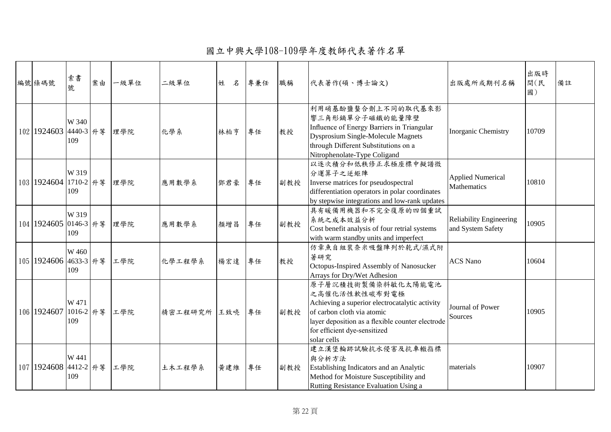國立中興大學108-109學年度教師代表著作名單

| 編號條碼號                 | 索書<br>號                   | 案由 | 一級單位 | 二級單位        | 姓<br>名 | 專兼任 | 職稱  | 代表著作(碩、博士論文)                                                                                                                                                                                                           | 出版處所或期刊名稱                                           | 出版時<br>間(民<br>國) | 備註 |
|-----------------------|---------------------------|----|------|-------------|--------|-----|-----|------------------------------------------------------------------------------------------------------------------------------------------------------------------------------------------------------------------------|-----------------------------------------------------|------------------|----|
| 102 1924603 4440-3 升等 | W 340<br>109              |    | 理學院  | 化學系         | 林柏亨    | 專任  | 教授  | 利用硝基酚鹽螯合劑上不同的取代基來影<br>響三角形鏑單分子磁鐵的能量障壁<br>Influence of Energy Barriers in Triangular<br><b>Dysprosium Single-Molecule Magnets</b><br>through Different Substitutions on a<br>Nitrophenolate-Type Coligand               | Inorganic Chemistry                                 | 10709            |    |
| 103 1924604 1710-2 升等 | W 319<br>109              |    | 理學院  | 應用數學系       | 鄧君豪    | 專任  | 副教授 | 以逐次積分和低秩修正求極座標中擬譜微<br>分運算子之逆矩陣<br>Inverse matrices for pseudospectral<br>differentiation operators in polar coordinates<br>by stepwise integrations and low-rank updates                                               | <b>Applied Numerical</b><br>Mathematics             | 10810            |    |
| 104 1924605 0146-3 升等 | W 319<br>109              |    | 理學院  | 應用數學系       | 顏增昌    | 專任  | 副教授 | 具有暖備用機器和不完全復原的四個重試<br>系統之成本效益分析<br>Cost benefit analysis of four retrial systems<br>with warm standby units and imperfect                                                                                              | <b>Reliability Engineering</b><br>and System Safety | 10905            |    |
| 105 1924606 4633-3 升等 | W 460<br>109              |    | 工學院  | 化學工程學系      | 楊宏達    | 專任  | 教授  | 仿章魚自組裝奈米吸盤陣列於乾式/濕式附<br>著研究<br>Octopus-Inspired Assembly of Nanosucker<br>Arrays for Dry/Wet Adhesion                                                                                                                   | <b>ACS Nano</b>                                     | 10604            |    |
| 106 1924607           | W 471<br>1016-2 升等<br>109 |    | 工學院  | 精密工程研究所 王致喨 |        | 專任  | 副教授 | 原子層沉積技術製備染料敏化太陽能電池<br>之高催化活性軟性碳布對電極<br>Achieving a superior electrocatalytic activity<br>of carbon cloth via atomic<br>layer deposition as a flexible counter electrode<br>for efficient dye-sensitized<br>solar cells | Journal of Power<br>Sources                         | 10905            |    |
| 107 1924608 4412-2 升等 | W 441<br>109              |    | 工學院  | 土木工程學系      | 黃建維    | 專任  | 副教授 | 建立漢堡輪跡試驗抗水侵害及抗車轍指標<br>與分析方法<br>Establishing Indicators and an Analytic<br>Method for Moisture Susceptibility and<br>Rutting Resistance Evaluation Using a                                                              | materials                                           | 10907            |    |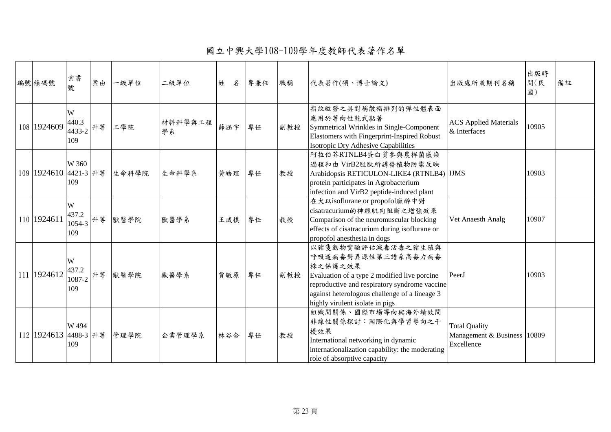國立中興大學108-109學年度教師代表著作名單

| 編號條碼號                 | 索書<br>號                           | 案由 | 一級單位                        | 二級單位          | 姓<br>名 | 專兼任 | 職稱  | 代表著作(碩、博士論文)                                                                                                                                                                                                                             | 出版處所或期刊名稱                                                           | 出版時<br>間(民<br>國) | 備註 |
|-----------------------|-----------------------------------|----|-----------------------------|---------------|--------|-----|-----|------------------------------------------------------------------------------------------------------------------------------------------------------------------------------------------------------------------------------------------|---------------------------------------------------------------------|------------------|----|
| 108 1924609           | W<br>440.3<br>$14433-2$ 升等<br>109 |    | 工學院                         | 材料科學與工程<br>學系 | 薛涵宇    | 專任  | 副教授 | 指紋啟發之具對稱皺褶排列的彈性體表面<br>應用於等向性乾式黏著<br>Symmetrical Wrinkles in Single-Component<br>Elastomers with Fingerprint-Inspired Robust<br>Isotropic Dry Adhesive Capabilities                                                                       | <b>ACS</b> Applied Materials<br>& Interfaces                        | 10905            |    |
|                       | W 360<br>109                      |    | 109 1924610 4421-3 升等 生命科學院 | 生命科學系         | 黄皓瑄    | 專任  | 教授  | 阿拉伯芥RTNLB4蛋白質參與農桿菌感染<br>過程和由 VirB2胜肽所誘發植物防禦反映<br>Arabidopsis RETICULON-LIKE4 (RTNLB4) IJMS<br>protein participates in Agrobacterium<br>infection and VirB2 peptide-induced plant                                                         |                                                                     | 10903            |    |
| 110 1924611           | W<br>437.2<br>$1054-3$ 升等<br>109  |    | 獸醫學院                        | 獸醫學系          | 王咸棋    | 專任  | 教授  | 在犬以isoflurane or propofol麻醉中對<br>cisatracurium的神經肌肉阻斷之增強效果<br>Comparison of the neuromuscular blocking<br>effects of cisatracurium during isoflurane or<br>propofol anesthesia in dogs                                                   | Vet Anaesth Analg                                                   | 10907            |    |
| 111 1924612           | W<br>437.2<br>$1087-2$ 升等<br>109  |    | 獸醫學院                        | 獸醫學系          | 賈敏原    | 專任  | 副教授 | 以豬隻動物實驗評估減毒活毒之豬生殖與<br>呼吸道病毒對異源性第三譜系高毒力病毒<br>株之保護之效果<br>Evaluation of a type 2 modified live porcine<br>reproductive and respiratory syndrome vaccine<br>against heterologous challenge of a lineage 3<br>highly virulent isolate in pigs | PeerJ                                                               | 10903            |    |
| 112 1924613 4488-3 升等 | W 494<br>109                      |    | 管理學院                        | 企業管理學系        | 林谷合    | 專任  | 教授  | 組織間關係、國際市場導向與海外績效間<br>非線性關係探討:國際化與學習導向之干<br>擾效果<br>International networking in dynamic<br>internationalization capability: the moderating<br>role of absorptive capacity                                                                 | <b>Total Quality</b><br>Management & Business   10809<br>Excellence |                  |    |